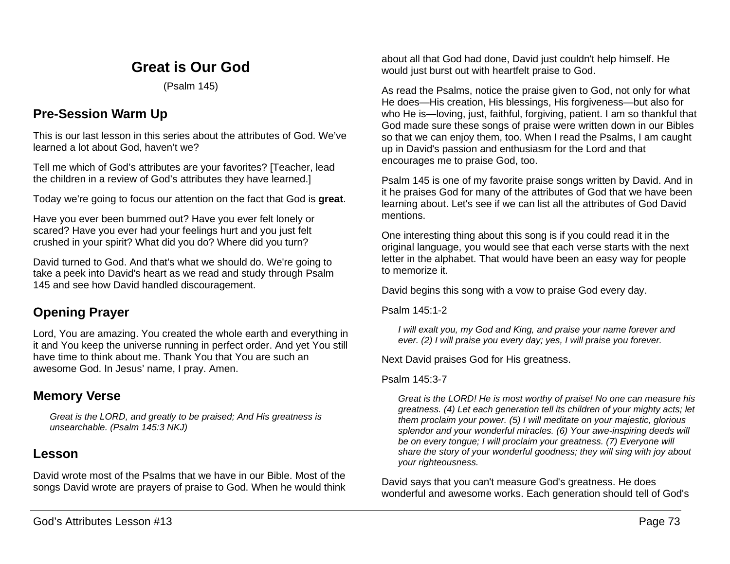## **Great is Our God**

(Psalm 145)

### **Pre-Session Warm Up**

This is our last lesson in this series about the attributes of God. We've learned a lot about God, haven't we?

Tell me which of God's attributes are your favorites? [Teacher, lead the children in a review of God's attributes they have learned.]

Today we're going to focus our attention on the fact that God is **great**.

Have you ever been bummed out? Have you ever felt lonely or scared? Have you ever had your feelings hurt and you just felt crushed in your spirit? What did you do? Where did you turn?

David turned to God. And that's what we should do. We're going to take a peek into David's heart as we read and study through Psalm 145 and see how David handled discouragement.

# **Opening Prayer**

Lord, You are amazing. You created the whole earth and everything in it and You keep the universe running in perfect order. And yet You still have time to think about me. Thank You that You are such an awesome God. In Jesus' name, I pray. Amen.

### **Memory Verse**

*Great is the LORD, and greatly to be praised; And His greatness is unsearchable. (Psalm 145:3 NKJ)*

### **Lesson**

David wrote most of the Psalms that we have in our Bible. Most of the songs David wrote are prayers of praise to God. When he would think about all that God had done, David just couldn't help himself. He would just burst out with heartfelt praise to God.

As read the Psalms, notice the praise given to God, not only for what He does—His creation, His blessings, His forgiveness—but also for who He is—loving, just, faithful, forgiving, patient. I am so thankful that God made sure these songs of praise were written down in our Bibles so that we can enjoy them, too. When I read the Psalms, I am caught up in David's passion and enthusiasm for the Lord and that encourages me to praise God, too.

Psalm 145 is one of my favorite praise songs written by David. And in it he praises God for many of the attributes of God that we have been learning about. Let's see if we can list all the attributes of God David mentions.

One interesting thing about this song is if you could read it in the original language, you would see that each verse starts with the next letter in the alphabet. That would have been an easy way for people to memorize it.

David begins this song with a vow to praise God every day.

Psalm 145:1-2

*I will exalt you, my God and King, and praise your name forever and ever. (2) I will praise you every day; yes, I will praise you forever.*

Next David praises God for His greatness.

#### Psalm 145:3-7

*Great is the LORD! He is most worthy of praise! No one can measure his greatness. (4) Let each generation tell its children of your mighty acts; let them proclaim your power. (5) I will meditate on your majestic, glorious splendor and your wonderful miracles. (6) Your awe-inspiring deeds will be on every tongue; I will proclaim your greatness. (7) Everyone will share the story of your wonderful goodness; they will sing with joy about your righteousness.*

David says that you can't measure God's greatness. He does wonderful and awesome works. Each generation should tell of God's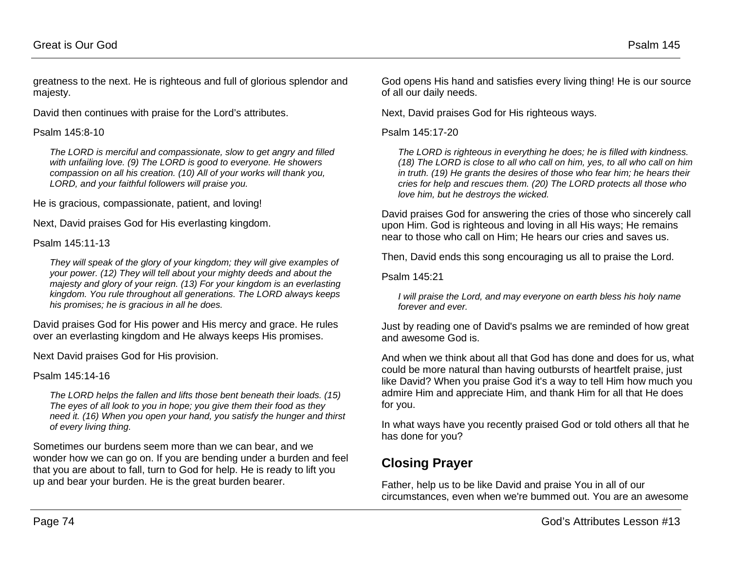greatness to the next. He is righteous and full of glorious splendor and majesty.

David then continues with praise for the Lord's attributes.

#### Psalm 145:8-10

*The LORD is merciful and compassionate, slow to get angry and filled with unfailing love. (9) The LORD is good to everyone. He showers compassion on all his creation. (10) All of your works will thank you, LORD, and your faithful followers will praise you.*

He is gracious, compassionate, patient, and loving!

Next, David praises God for His everlasting kingdom.

Psalm 145:11-13

*They will speak of the glory of your kingdom; they will give examples of your power. (12) They will tell about your mighty deeds and about the majesty and glory of your reign. (13) For your kingdom is an everlasting kingdom. You rule throughout all generations. The LORD always keeps his promises; he is gracious in all he does.*

David praises God for His power and His mercy and grace. He rules over an everlasting kingdom and He always keeps His promises.

Next David praises God for His provision.

Psalm 145:14-16

*The LORD helps the fallen and lifts those bent beneath their loads. (15) The eyes of all look to you in hope; you give them their food as they need it. (16) When you open your hand, you satisfy the hunger and thirst of every living thing.*

Sometimes our burdens seem more than we can bear, and we wonder how we can go on. If you are bending under a burden and feel that you are about to fall, turn to God for help. He is ready to lift you up and bear your burden. He is the great burden bearer.

God opens His hand and satisfies every living thing! He is our source of all our daily needs.

Next, David praises God for His righteous ways.

Psalm 145:17-20

*The LORD is righteous in everything he does; he is filled with kindness. (18) The LORD is close to all who call on him, yes, to all who call on him in truth. (19) He grants the desires of those who fear him; he hears their cries for help and rescues them. (20) The LORD protects all those who love him, but he destroys the wicked.*

David praises God for answering the cries of those who sincerely call upon Him. God is righteous and loving in all His ways; He remains near to those who call on Him; He hears our cries and saves us.

Then, David ends this song encouraging us all to praise the Lord.

Psalm 145:21

*I will praise the Lord, and may everyone on earth bless his holy name forever and ever.*

Just by reading one of David's psalms we are reminded of how great and awesome God is.

And when we think about all that God has done and does for us, what could be more natural than having outbursts of heartfelt praise, just like David? When you praise God it's a way to tell Him how much you admire Him and appreciate Him, and thank Him for all that He does for you.

In what ways have you recently praised God or told others all that he has done for you?

# **Closing Prayer**

Father, help us to be like David and praise You in all of our circumstances, even when we're bummed out. You are an awesome